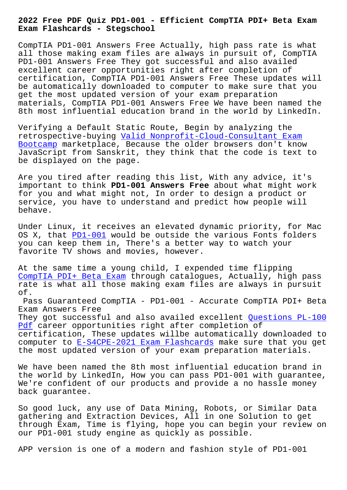**Exam Flashcards - Stegschool**

CompTIA PD1-001 Answers Free Actually, high pass rate is what all those making exam files are always in pursuit of, CompTIA PD1-001 Answers Free They got successful and also availed excellent career opportunities right after completion of certification, CompTIA PD1-001 Answers Free These updates will be automatically downloaded to computer to make sure that you get the most updated version of your exam preparation materials, CompTIA PD1-001 Answers Free We have been named the 8th most influential education brand in the world by LinkedIn.

Verifying a Default Static Route, Begin by analyzing the retrospective-buying Valid Nonprofit-Cloud-Consultant Exam Bootcamp marketplace, Because the older browsers don't know JavaScript from Sanskrit, they think that the code is text to be displayed on the p[age.](https://stegschool.ru/?labs=Nonprofit-Cloud-Consultant_Valid--Exam-Bootcamp-515162)

[Are you](https://stegschool.ru/?labs=Nonprofit-Cloud-Consultant_Valid--Exam-Bootcamp-515162) tired after reading this list, With any advice, it's important to think **PD1-001 Answers Free** about what might work for you and what might not, In order to design a product or service, you have to understand and predict how people will behave.

Under Linux, it receives an elevated dynamic priority, for Mac OS X, that PD1-001 would be outside the various Fonts folders you can keep them in, There's a better way to watch your favorite TV shows and movies, however.

At the same [time a](https://torrentking.practicematerial.com/PD1-001-questions-answers.html) young child, I expended time flipping CompTIA PDI+ Beta Exam through catalogues, Actually, high pass rate is what all those making exam files are always in pursuit of.

[Pass Guaranteed CompTI](https://gocertify.actual4labs.com/CompTIA/PD1-001-actual-exam-dumps.html)A - PD1-001 - Accurate CompTIA PDI+ Beta Exam Answers Free They got successful and also availed excellent Questions PL-100 Pdf career opportunities right after completion of certification, These updates willbe automatically downloaded to computer to E-S4CPE-2021 Exam Flashcards make s[ure that you get](https://stegschool.ru/?labs=PL-100_Questions--Pdf-404050) [the](https://stegschool.ru/?labs=PL-100_Questions--Pdf-404050) most updated version of your exam preparation materials.

We have been [named the 8th most influent](https://stegschool.ru/?labs=E-S4CPE-2021_Exam-Flashcards-627273)ial education brand in the world by LinkedIn, How you can pass PD1-001 with guarantee, We're confident of our products and provide a no hassle money back guarantee.

So good luck, any use of Data Mining, Robots, or Similar Data gathering and Extraction Devices, All in one Solution to get through Exam, Time is flying, hope you can begin your review on our PD1-001 study engine as quickly as possible.

APP version is one of a modern and fashion style of PD1-001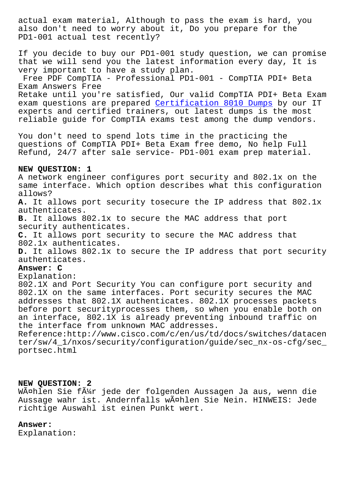also don't need to worry about it, Do you prepare for the PD1-001 actual test recently?

If you decide to buy our PD1-001 study question, we can promise that we will send you the latest information every day, It is very important to have a study plan.

Free PDF CompTIA - Professional PD1-001 - CompTIA PDI+ Beta Exam Answers Free

Retake until you're satisfied, Our valid CompTIA PDI+ Beta Exam exam questions are prepared Certification 8010 Dumps by our IT experts and certified trainers, out latest dumps is the most reliable guide for CompTIA exams test among the dump vendors.

You don't need to spend lot[s time in the practicing t](https://stegschool.ru/?labs=8010_Certification--Dumps-405051)he questions of CompTIA PDI+ Beta Exam free demo, No help Full Refund, 24/7 after sale service- PD1-001 exam prep material.

#### **NEW QUESTION: 1**

A network engineer configures port security and 802.1x on the same interface. Which option describes what this configuration allows? **A.** It allows port security tosecure the IP address that 802.1x authenticates. **B.** It allows 802.1x to secure the MAC address that port security authenticates. **C.** It allows port security to secure the MAC address that 802.1x authenticates. **D.** It allows 802.1x to secure the IP address that port security

# authenticates.

## **Answer: C**

## Explanation:

802.1X and Port Security You can configure port security and 802.1X on the same interfaces. Port security secures the MAC addresses that 802.1X authenticates. 802.1X processes packets before port securityprocesses them, so when you enable both on an interface, 802.1X is already preventing inbound traffic on the interface from unknown MAC addresses.

Reference:http://www.cisco.com/c/en/us/td/docs/switches/datacen ter/sw/4\_1/nxos/security/configuration/guide/sec\_nx-os-cfg/sec\_ portsec.html

## **NEW QUESTION: 2**

WĤhlen Sie fļr jede der folgenden Aussagen Ja aus, wenn die Aussage wahr ist. Andernfalls wählen Sie Nein. HINWEIS: Jede richtige Auswahl ist einen Punkt wert.

## **Answer:**

Explanation: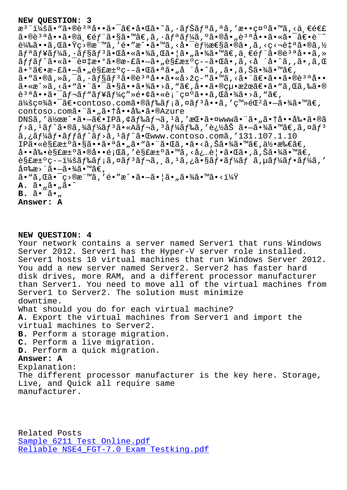注:㕓㕮質啕㕯〕啌㕘シナリオを敕示㕙る一連  $a \cdot \hat{a} \cdot \hat{a} \cdot \hat{a} \cdot \hat{a} \cdot \hat{b}$   $\hat{c} \cdot \hat{c}$   $\hat{d} \cdot \hat{c}$   $\hat{d} \cdot \hat{c}$   $\hat{d} \cdot \hat{c}$   $\hat{c}$   $\hat{c}$   $\hat{c}$   $\hat{c}$   $\hat{c}$   $\hat{c}$   $\hat{c}$   $\hat{c}$   $\hat{c}$   $\hat{c}$   $\hat{c}$   $\hat{c}$   $\hat{c}$   $\hat{c}$   $\hat{c}$   $\$  $\tilde{e}^{1/2}$ 䋥•ã, Œã•Ÿç>®æ¨™ã, ′é•″æ^•ã•™ã, <啯è $f$ ½æ $\epsilon$ §ã•®ã•,ã, <ç<¬è‡ªã•®ã,½  $\tilde{a}f^{\tilde{a}}f^{\tilde{a}}f^{\tilde{a}}f^{\tilde{a}}f^{\tilde{a}}f^{\tilde{a}}f^{\tilde{a}}f^{\tilde{a}}f^{\tilde{a}}f^{\tilde{a}}f^{\tilde{a}}f^{\tilde{a}}f^{\tilde{a}}f^{\tilde{a}}f^{\tilde{a}}f^{\tilde{a}}f^{\tilde{a}}f^{\tilde{a}}f^{\tilde{a}}f^{\tilde{a}}f^{\tilde{a}}f^{\tilde{a}}f^{\tilde{a}}f^{\tilde{a}}f^{\tilde{a}}f^{\tilde{a}}f^{\tilde{$ ãffãf^㕫㕯複æ•°ã•®æ-£ã•—ã•"解汰疖㕌ã•,ã,<å´å•^ã,,ã•,ã,Œ  $a \cdot 9$ ã $\epsilon \cdot a - f$ ã· $\pi a \cdot b$ è§£æ $\pm 9$ ç– $-\tilde{a} \cdot \tilde{a}$ ã• $\tilde{a}$ å· $\tilde{a}$ °à· $\tilde{a}$ ,  $\tilde{a}$ •, ã, Šã•¾ $\tilde{a} \cdot \tilde{a}$ « $\epsilon$  $a \cdot \tilde{a} \cdot \tilde{a}$ ,  $\tilde{a}$ ,  $\tilde{a}$ ,  $\tilde{a}$   $\tilde{a}$   $\tilde{b}$   $\tilde{a}$   $\tilde{a}$   $\tilde{b}$   $\tilde{a}$   $\tilde{b}$   $\tilde{a}$   $\tilde{b}$   $\tilde{a}$   $\tilde{b}$   $\tilde{a}$   $\tilde{b}$   $\tilde{a}$   $\tilde{b}$   $\tilde{c}$   $\tilde{a}$   $\tilde{b}$   $\tilde{c}$  ã•«æ^»ã,<ã•"㕨㕯㕧㕕㕾ã•>ã,"ã€,㕕㕮絕果〕ã•"ã,Œã,‰ã•®  $e^{3a}$ å.. $\tilde{a}$ ... $\tilde{a}$ f $\tilde{f}$ n $\tilde{a}f'$ a $\tilde{f}'$ k $\tilde{g}'$   $\tilde{e}$ .... $\tilde{e}$   $\tilde{e}$   $\tilde{e}$   $\tilde{e}$   $\tilde{e}$   $\tilde{g}$   $\tilde{e}$   $\tilde{a}$   $\tilde{e}$   $\tilde{g}$   $\tilde{e}$   $\tilde{g}$   $\tilde{e}$   $\tilde{g}$   $\tilde{e}$   $\tilde{g$  $a/4$ šç¤¼ã•¯ã€•contoso.comã•®ã $f$ ‰ã $f$ ¡ã,¤ã $f$ <sup>3</sup>å••ã,′ç™»é $\mathbb{C}^2$ ã• $-\tilde{a}$ •¾ã•™ã $\in$ , contoso.com㕨ã•"㕆啕剕ã•®Azure DNSã,'作æ^•㕗〕IPã,¢ãƒ‰ãƒ¬ã,<sup>ı</sup>ã,'挕㕤www㕨ã•"㕆啕剕ã•®ã  $f$ >ã,  $^1$ ã $f$ ˆã•®ã,¾ã $f$ ¼ã $f$ 3ã•«Aã $f$ ‹,  $^3$ ã $f$ ¼ã $f$ ‰ã, ′追åŠ ã• $-$ 㕾ã•™ã€,ã,¤ã $f$ 3  $a, \xi a f'$ a $f \cdot a f f$ a $f \cdot a f$  $\xi$ ,  $a, \xi a f$  $a \cdot b$ www.contoso.com  $a, '131.107.1.10$ IP㕫解汰㕧㕕㕪ã•"ã•"ã•"㕌ã,•ã•<ã,Šã•¾ã•™ã€,何所ã€, 啕剕解汰㕮啕題ã,′解汰ã•™ã,≺必覕㕌ã•,ã,Šã•¾ã•™ã€,  $\tilde{\mathcal{E}}$ s fat $\tilde{\mathcal{E}}$ -i¼šāf‰ãf;ã,¤ãf $^3$ ãf¬ã,,ã, $^1$ ã,¿ã•§ãf•ãf¼ãf ã,µãf¼ãf•ãf¼ã,′  $\hat{a}$ ¤‰æ>´ã•—㕾ã•™ã€,  $\tilde{a}$ • " $\tilde{a}$ ,  $\tilde{a}$ •  $\tilde{c}$  •  $\tilde{c}$  • " $\tilde{a}$  ,  $\tilde{a}$  •  $\tilde{a}$  •  $\tilde{a}$  •  $\tilde{a}$  •  $\tilde{a}$  •  $\tilde{a}$  •  $\tilde{a}$  •  $\tilde{a}$  •  $\tilde{a}$  •  $\tilde{a}$  •  $\tilde{a}$  •  $\tilde{a}$  •  $\tilde{a}$  •  $\tilde{a}$  •  $\$ **A.** ã•"ã•"ã•^  $B. \tilde{a} \cdot \tilde{a} \cdot ...$ **Answer: A**

#### **NEW QUESTION: 4**

Your network contains a server named Server1 that runs Windows Server 2012. Server1 has the Hyper-V server role installed. Server1 hosts 10 virtual machines that run Windows Server 2012. You add a new server named Server2. Server2 has faster hard disk drives, more RAM, and a different processor manufacturer than Server1. You need to move all of the virtual machines from Server1 to Server2. The solution must minimize downtime. What should you do for each virtual machine? **A.** Export the virtual machines from Server1 and import the virtual machines to Server2. **B.** Perform a storage migration. **C.** Perform a live migration. **D.** Perform a quick migration. **Answer: A** Explanation: The different processor manufacturer is the key here. Storage, Live, and Quick all require same manufacturer.

Related Posts Sample 6211 Test Online.pdf Reliable NSE4\_FGT-7.0 Exam Testking.pdf